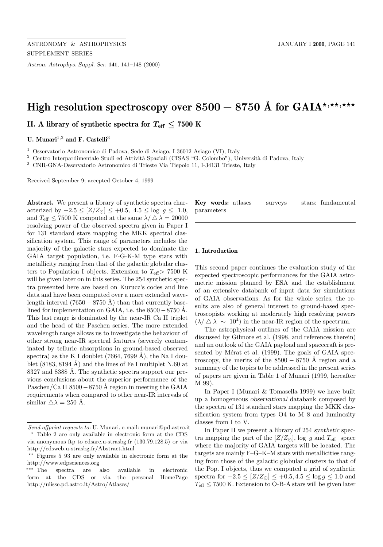*Astron. Astrophys. Suppl. Ser.* **141**, 141–148 (2000)

# High resolution spectroscopy over 8500 − 8750 Å for GAIA<sup>\*,\*\*,\*\*\*</sup>

**II.** A library of synthetic spectra for  $T_{\text{eff}} \leq 7500$  K

U. Munari<sup>1,2</sup> and F. Castelli<sup>3</sup>

<sup>1</sup> Osservatorio Astronomico di Padova, Sede di Asiago, I-36012 Asiago (VI), Italy

<sup>2</sup> Centro Interpardimentale Studi ed Attività Spaziali (CISAS "G. Colombo"), Università di Padova, Italy

<sup>3</sup> CNR-GNA-Osservatorio Astronomico di Trieste Via Tiepolo 11, I-34131 Trieste, Italy

Received September 9; accepted October 4, 1999

**Abstract.** We present a library of synthetic spectra characterized by  $-2.5 \leq [Z/Z_{\odot}] \leq +0.5$ ,  $4.5 \leq \log g \leq 1.0$ , and  $T_{\text{eff}} \leq 7500$  K computed at the same  $\lambda / \Delta \lambda = 20000$ resolving power of the observed spectra given in Paper I for 131 standard stars mapping the MKK spectral classification system. This range of parameters includes the majority of the galactic stars expected to dominate the GAIA target population, i.e. F-G-K-M type stars with metallicity ranging from that of the galactic globular clusters to Population I objects. Extension to  $T_{\text{eff}}$  > 7500 K will be given later on in this series. The 254 synthetic spectra presented here are based on Kurucz's codes and line data and have been computed over a more extended wavelength interval  $(7650 - 8750 \text{ Å})$  than that currently baselined for implementation on GAIA, i.e. the  $8500 - 8750$  Å. This last range is dominated by the near-IR Ca II triplet and the head of the Paschen series. The more extended wavelength range allows us to investigate the behaviour of other strong near-IR spectral features (severely contaminated by telluric absorptions in ground-based observed spectra) as the K I doublet  $(7664, 7699 \text{ Å})$ , the Na I doublet  $(8183, 8194 \text{ Å})$  and the lines of Fe I multiplet N.60 at 8327 and 8388 Å. The synthetic spectra support our previous conclusions about the superior performance of the Paschen/Ca II 8500 – 8750 Å region in meeting the GAIA requirements when compared to other near-IR intervals of similar  $\triangle \lambda = 250$  Å.

**Key words:** atlases — surveys — stars: fundamental parameters

### **1. Introduction**

This second paper continues the evaluation study of the expected spectroscopic performances for the GAIA astrometric mission planned by ESA and the establishment of an extensive databank of input data for simulations of GAIA observations. As for the whole series, the results are also of general interest to ground-based spectroscopists working at moderately high resolving powers  $(\lambda/\Delta \lambda \sim 10^4)$  in the near-IR region of the spectrum.

The astrophysical outlines of the GAIA mission are discussed by Gilmore et al. (1998, and references therein) and an outlook of the GAIA payload and spacecraft is presented by Mérat et al. (1999). The goals of GAIA spectroscopy, the merits of the  $8500 - 8750$  Å region and a summary of the topics to be addressed in the present series of papers are given in Table 1 of Munari (1999, hereafter M 99).

In Paper I (Munari & Tomasella 1999) we have built up a homogeneous *observational* databank composed by the spectra of 131 standard stars mapping the MKK classification system from types O4 to M 8 and luminosity classes from I to V.

In Paper II we present a library of 254 *synthetic* spectra mapping the part of the  $[Z/Z_{\odot}]$ , log g and  $T_{\text{eff}}$  space where the majority of GAIA targets will be located. The targets are mainly F–G–K–M stars with metallicities ranging from those of the galactic globular clusters to that of the Pop. I objects, thus we computed a grid of synthetic spectra for  $-2.5 \leq [Z/Z_{\odot}] \leq +0.5, 4.5 \leq \log g \leq 1.0$  and  $T_{\text{eff}}$   $\leq$  7500 K. Extension to O-B-A stars will be given later

Send offprint requests to: U. Munari, e-mail: munari@pd.astro.it ? Table 2 are only available in electronic form at the CDS

via anonymous ftp to cdsarc.u-strasbg.fr (130.79.128.5) or via http://cdsweb.u-strasbg.fr/Abstract.html

 $**$  Figures 5–93 are only available in electronic form at the http://www.edpsciences.org

<sup>\*\*\*</sup> The spectra are also available in electronic form at the CDS or via the personal HomePage http://ulisse.pd.astro.it/Astro/Atlases/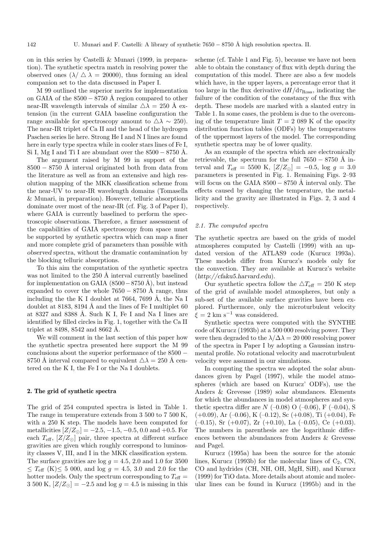on in this series by Castelli & Munari (1999, in preparation). The synthetic spectra match in resolving power the observed ones  $(\lambda / \Delta \lambda = 20000)$ , thus forming an ideal companion set to the data discussed in Paper I.

M 99 outlined the superior merits for implementation on GAIA of the  $8500 - 8750$  Å region compared to other near-IR wavelength intervals of similar  $\Delta \lambda = 250$  Å extension (in the current GAIA baseline configuration the range available for spectroscopy amount to  $\Delta\lambda \sim 250$ . The near-IR triplet of Ca II and the head of the hydrogen Paschen series lie here. Strong He I and N I lines are found here in early type spectra while in cooler stars lines of Fe I, Si I, Mg I and Ti I are abundant over the  $8500 - 8750$  Å.

The argument raised by M 99 in support of the  $8500 - 8750$  Å interval originated both from data from the literature as well as from an extensive and high resolution mapping of the MKK classification scheme from the near-UV to near-IR wavelength domains (Tomasella & Munari, in preparation). However, telluric absorptions dominate over most of the near-IR (cf. Fig. 3 of Paper I), where GAIA is currently baselined to perform the spectroscopic observations. Therefore, a firmer assessment of the capabilities of GAIA spectroscopy from space must be supported by synthetic spectra which can map a finer and more complete grid of parameters than possible with *observed* spectra, without the dramatic contamination by the blocking telluric absorptions.

To this aim the computation of the synthetic spectra was not limited to the 250 Å interval currently baselined for implementation on GAIA  $(8500-8750 \text{ Å})$ , but instead expanded to cover the whole  $7650 - 8750$  Å range, thus including the the K I doublet at  $7664$ ,  $7699$  Å, the Na I doublet at 8183, 8194 Å and the lines of Fe I multiplet  $60$ at 8327 and 8388 Å. Such K I, Fe I and Na I lines are identified by filled circles in Fig. 1, together with the Ca II triplet at  $8498, 8542$  and  $8662$  Å.

We will comment in the last section of this paper how the synthetic spectra presented here support the M 99 conclusions about the superior performance of the 8500 − 8750 Å interval compared to equivalent  $\Delta \lambda = 250$  Å centered on the K I, the Fe I or the Na I doublets.

#### **2. The grid of synthetic spectra**

The grid of 254 computed spectra is listed in Table 1. The range in temperature extends from 3 500 to 7 500 K, with a 250 K step. The models have been computed for metallicities  $[Z/Z_{\odot}] = -2.5, -1.5, -0.5, 0.0$  and  $+0.5$ . For each  $T_{\text{eff}}$ ,  $[Z/Z_{\odot}]$  pair, three spectra at different surface gravities are given which roughly correspond to luminosity classes V, III, and I in the MKK classification system. The surface gravities are  $log\ g = 4.5, 2.0$  and 1.0 for 3500  $\leq T_{\text{eff}}$  (K) $\leq 5$  000, and log  $g = 4.5, 3.0$  and 2.0 for the hotter models. Only the spectrum corresponding to  $T_{\text{eff}} =$ 3 500 K,  $[Z/Z_{\odot}] = -2.5$  and log  $g = 4.5$  is missing in this

scheme (cf. Table 1 and Fig. 5), because we have not been able to obtain the constancy of flux with depth during the computation of this model. There are also a few models which have, in the upper layers, a percentage error that it too large in the flux derivative  $dH/d\tau_{\rm Ross}$ , indicating the failure of the condition of the constancy of the flux with depth. These models are marked with a slanted entry in Table 1. In some cases, the problem is due to the overcoming of the temperature limit  $T = 2089$  K of the opacity distribution function tables (ODFs) by the temperatures of the uppermost layers of the model. The corresponding synthetic spectra may be of lower quality.

As an example of the spectra which are electronically retrievable, the spectrum for the full  $7650 - 8750$  Å interval and  $T_{\text{eff}} = 5500 \text{ K}, |Z/Z_{\odot}| = -0.5, \log g = 3.0$ parameters is presented in Fig. 1. Remaining Figs. 2–93 will focus on the GAIA  $8500 - 8750$  Å interval only. The effects caused by changing the temperature, the metallicity and the gravity are illustrated in Figs. 2, 3 and 4 respectively.

#### 2.1. The computed spectra

The synthetic spectra are based on the grids of model atmospheres computed by Castelli (1999) with an updated version of the ATLAS9 code (Kurucz 1993a). These models differ from Kurucz's models only for the convection. They are available at Kurucz's website (*http://cfaku5.harvard.edu*).

Our synthetic spectra follow the  $\Delta T_{\text{eff}} = 250$  K step of the grid of available model atmospheres, but only a sub-set of the available surface gravities have been explored. Furthermore, only the microturbulent velocity  $\xi = 2$  km s<sup>-1</sup> was considered.

Synthetic spectra were computed with the SYNTHE code of Kurucz (1993b) at a 500 000 resolving power. They were then degraded to the  $\lambda/\Delta\lambda = 20000$  resolving power of the spectra in Paper I by adopting a Gaussian instrumental profile. No rotational velocity and macroturbulent velocity were assumed in our simulations.

In computing the spectra we adopted the solar abundances given by Pagel (1997), while the model atmospheres (which are based on Kurucz' ODFs), use the Anders & Grevesse (1989) solar abundances. Elements for which the abundances in model atmospheres and synthetic spectra differ are  $N$  (–0.08) O (–0.06), F (–0.04), S  $(+0.09)$ , Ar  $(-0.06)$ , K  $(-0.12)$ , Sc  $(+0.08)$ , Ti  $(+0.04)$ , Fe  $(-0.15)$ , Sr  $(+0.07)$ , Zr  $(+0.10)$ , La  $(-0.05)$ , Ce  $(+0.03)$ . The numbers in parenthesis are the logarithmic differences between the abundances from Anders & Grevesse and Pagel.

Kurucz (1995a) has been the source for the atomic lines, Kurucz (1993b) for the molecular lines of  $C_2$ , CN, CO and hydrides (CH, NH, OH, MgH, SiH), and Kurucz (1999) for TiO data. More details about atomic and molecular lines can be found in Kurucz (1995b) and in the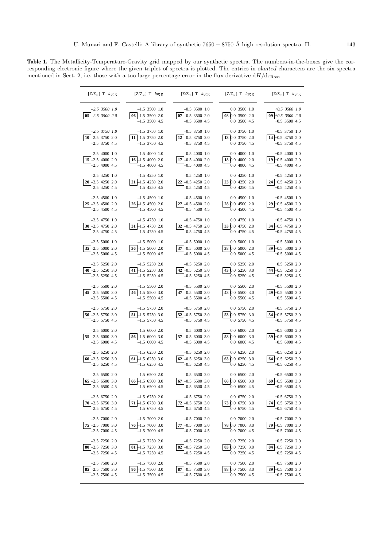**Table 1.** The Metallicity-Temperature-Gravity grid mapped by our synthetic spectra. The numbers-in-the-boxes give the corresponding electronic figure where the given triplet of spectra is plotted. The entries in *slanted* characters are the six spectra mentioned in Sect. 2, i.e. those with a too large percentage error in the flux derivative  $dH/d\tau_{\rm Ross}$ 

 $\overline{\phantom{a}}$ 

| $[Z/Z_{\odot}]$ T $\log g$          | $[Z/Z_{\odot}]$ T $\log g$                                | $[Z/Z_{\odot}]$ T $\log g$                             | $[Z/Z_{\odot}]$ T $\log g$                      | $[Z/Z_{\odot}]$ T $\log g$                                |
|-------------------------------------|-----------------------------------------------------------|--------------------------------------------------------|-------------------------------------------------|-----------------------------------------------------------|
| $-2.5$ 3500 1.0<br>$05 - 2.5350020$ | $-1.5$ 3500 1.0<br>$06 - 1.5$ 3500 2.0<br>$-1.5$ 3500 4.5 | $-0.5$ 3500 1.0<br>07 -0.5 3500 2.0<br>$-0.5$ 3500 4.5 | 0.0 3500 1.0<br>08 0.0 3500 2.0<br>0.0 3500 4.5 | $+0.5$ 3500 1.0<br>$09 + 0.5$ 3500 2.0<br>$+0.5$ 3500 4.5 |
| $-2.5$ 3750 1.0                     | $-1.5$ 3750 1.0                                           | $-0.5$ 3750 1.0                                        | 0.0 3750 1.0                                    | $+0.5$ 3750 1.0                                           |
| $10 - 2.5$ 3750 2.0                 | 11 -1.5 3750 2.0                                          | 12 -0.5 3750 2.0                                       | 13 0.0 3750 2.0                                 | 14 +0.5 3750 2.0                                          |
| $-2.5$ 3750 4.5                     | $-1.5$ 3750 4.5                                           | $-0.5$ 3750 4.5                                        | 0.0 3750 4.5                                    | $+0.5$ 3750 4.5                                           |
| $-2.5$ 4000 1.0                     | $-1.5$ 4000 1.0                                           | $-0.5$ 4000 1.0                                        | 0.040001.0                                      | $+0.5$ 4000 1.0                                           |
| $15 - 2.5$ 4000 2.0                 | $16 - 1.5$ 4000 2.0                                       | $17 - 0.5$ 4000 2.0                                    | 18 0.0 4000 2.0                                 | $19 + 0.5$ 4000 2.0                                       |
| $-2.5$ 4000 4.5                     | $-1.5$ 4000 4.5                                           | $-0.5$ 4000 4.5                                        | 0.0 4000 4.5                                    | $+0.5$ 4000 4.5                                           |
| $-2.5$ 4250 1.0                     | $-1.5$ 4250 1.0                                           | $-0.5$ 4250 1.0                                        | 0.042501.0                                      | $+0.5$ 4250 1.0                                           |
| 20 -2.5 4250 2.0                    | 21 -1.5 4250 2.0                                          | 22 -0.5 4250 2.0                                       | 23 0.0 4250 2.0                                 | $24 + 0.5$ 4250 2.0                                       |
| $-2.5$ 4250 4.5                     | $-1.5$ 4250 4.5                                           | $-0.5$ 4250 4.5                                        | 0.0 4250 4.5                                    | $+0.5$ 4250 4.5                                           |
| $-2.5$ 4500 1.0                     | $-1.5$ 4500 1.0                                           | $-0.5$ 4500 1.0                                        | 0.045001.0                                      | $+0.5$ 4500 1.0                                           |
| 25 -2.5 4500 2.0                    | $26 - 1.5$ 4500 2.0                                       | 27 -0.5 4500 2.0                                       | 28 0.0 4500 2.0                                 | $29 + 0.5$ 4500 2.0                                       |
| $-2.5$ 4500 4.5                     | $-1.5$ 4500 4.5                                           | $-0.5$ 4500 4.5                                        | 0.0 4500 4.5                                    | $+0.5$ 4500 4.5                                           |
| $-2.5$ 4750 1.0                     | $-1.5$ 4750 1.0                                           | $-0.5$ 4750 1.0                                        | 0.0 4750 1.0                                    | $+0.5$ 4750 1.0                                           |
| 30 -2.5 4750 2.0                    | 31 -1.5 4750 2.0                                          | 32 -0.5 4750 2.0                                       | 33 0.0 4750 2.0                                 | 34 +0.5 4750 2.0                                          |
| $-2.5$ 4750 4.5                     | $-1.5$ 4750 4.5                                           | $-0.5$ 4750 4.5                                        | 0.0 4750 4.5                                    | $+0.5$ 4750 4.5                                           |
| $-2.5$ 5000 1.0                     | $-1.5$ 5000 1.0                                           | $-0.5$ 5000 1.0                                        | 0.050001.0                                      | $+0.5$ 5000 1.0                                           |
| 35 -2.5 5000 2.0                    | 36 -1.5 5000 2.0                                          | 37 -0.5 5000 2.0                                       | 38 0.0 5000 2.0                                 | 39 +0.5 5000 2.0                                          |
| $-2.5$ 5000 4.5                     | $-1.5$ 5000 4.5                                           | $-0.5$ 5000 4.5                                        | 0.0 5000 4.5                                    | $+0.5$ 5000 4.5                                           |
| $-2.5$ 5250 2.0                     | $-1.5$ 5250 2.0                                           | $-0.5$ 5250 2.0                                        | 0.0 5250 2.0                                    | $+0.5$ 5250 2.0                                           |
| 40 $-2.5$ 5250 3.0                  | 41 -1.5 5250 3.0                                          | 42 -0.5 5250 3.0                                       | 43 0.0 5250 3.0                                 | 44 +0.5 5250 3.0                                          |
| $-2.5$ 5250 4.5                     | $-1.5$ 5250 4.5                                           | $-0.5$ 5250 4.5                                        | 0.0 5250 4.5                                    | $+0.5$ 5250 4.5                                           |
| $-2.5$ 5500 2.0                     | $-1.5$ 5500 2.0                                           | $-0.5$ 5500 2.0                                        | 0.0 5500 2.0                                    | $+0.5$ 5500 2.0                                           |
| 45 -2.5 5500 3.0                    | $46 - 1.555003.0$                                         | 47 -0.5 5500 3.0                                       | 48 0.0 5500 3.0                                 | 49 +0.5 5500 3.0                                          |
| $-2.5$ 5500 4.5                     | $-1.5$ 5500 4.5                                           | $-0.5$ 5500 4.5                                        | 0.0 5500 4.5                                    | $+0.5$ 5500 4.5                                           |
| $-2.5$ 5750 2.0                     | $-1.5$ 5750 2.0                                           | $-0.5$ 5750 2.0                                        | 0.0 5750 2.0                                    | $+0.5$ 5750 2.0                                           |
| $50 - 2.5557503.0$                  | $51 - 1.5$ 5750 3.0                                       | 52 -0.5 5750 3.0                                       | 53 0.0 5750 3.0                                 | 54 +0.5 5750 3.0                                          |
| $-2.5$ 5750 4.5                     | $-1.5$ 5750 4.5                                           | $-0.5$ 5750 4.5                                        | 0.0 5750 4.5                                    | $+0.5$ 5750 4.5                                           |
| $-2.5$ 6000 2.0                     | $-1.5$ 6000 2.0                                           | $-0.5$ 6000 2.0                                        | 0.060002.0                                      | $+0.5$ 6000 2.0                                           |
| $55 - 2.560003.0$                   | $56 - 1.5$ 6000 3.0                                       | 57 $-0.5$ 6000 3.0                                     | 58 0.0 6000 3.0                                 | $59 + 0.5$ 6000 3.0                                       |
| $-2.5$ 6000 4.5                     | $-1.5$ 6000 4.5                                           | $-0.5$ 6000 4.5                                        | 0.060004.5                                      | $+0.5$ 6000 4.5                                           |
| $-2.5$ 6250 2.0                     | $-1.5$ 6250 2.0                                           | $-0.5$ 6250 2.0                                        | 0.062502.0                                      | $+0.5$ 6250 2.0                                           |
| $60 - 2.562503.0$                   | $61 - 1.5$ 6250 3.0                                       | $62 - 0.5$ 6250 3.0                                    | 63 0.0 6250 3.0                                 | $64 + 0.5$ 6250 3.0                                       |
| $-2.5$ 6250 4.5                     | $-1.5$ 6250 4.5                                           | $-0.5$ 6250 4.5                                        | 0.0 6250 4.5                                    | $+0.5$ 6250 4.5                                           |
| $-2.5$ 6500 2.0                     | $-1.5$ 6500 2.0                                           | $-0.5$ 6500 2.0                                        | 0.065002.0                                      | $+0.5$ 6500 2.0                                           |
| 65 -2.5 6500 3.0                    | $66 - 1.56003.0$                                          | $67 - 0.565003.0$                                      | 68 0.0 6500 3.0                                 | $69 + 0.565003.0$                                         |
| $-2.5$ 6500 4.5                     | $-1.5$ 6500 4.5                                           | $-0.5$ 6500 4.5                                        | 0.0 6500 4.5                                    | $+0.5$ 6500 4.5                                           |
| $-2.5$ 6750 2.0                     | $-1.5$ 6750 2.0                                           | $-0.5$ 6750 2.0                                        | 0.0 6750 2.0                                    | $+0.5$ 6750 2.0                                           |
| $70 - 2.567503.0$                   | $71 - 1.5$ 6750 3.0                                       | $72 - 0.567503.0$                                      | 73 0.0 6750 3.0                                 | $74 + 0.5$ 6750 3.0                                       |
| $-2.5$ 6750 4.5                     | $-1.5$ 6750 4.5                                           | $-0.5$ 6750 4.5                                        | 0.0 6750 4.5                                    | $+0.5$ 6750 4.5                                           |
| $-2.5$ 7000 2.0                     | $-1.5$ 7000 2.0                                           | $-0.5$ 7000 2.0                                        | 0.070002.0                                      | $+0.5$ 7000 2.0                                           |
| 75 -2.5 7000 3.0                    | $76 - 1.5$ 7000 3.0                                       | 77 -0.5 7000 3.0                                       | 78 0.0 7000 3.0                                 | 79 +0.5 7000 3.0                                          |
| $-2.5$ 7000 4.5                     | $-1.5$ 7000 4.5                                           | $-0.5$ 7000 4.5                                        | 0.0 7000 4.5                                    | $+0.5$ 7000 4.5                                           |
| $-2.5$ 7250 2.0                     | $-1.5$ 7250 2.0                                           | $-0.5$ 7250 2.0                                        | 0.0 7250 2.0                                    | $+0.5$ 7250 2.0                                           |
| 80 $-2.5$ 7250 3.0                  | 81 $-1.5$ 7250 3.0                                        | 82 $-0.5$ 7250 3.0                                     | 83 0.0 7250 3.0                                 | 84 +0.5 7250 3.0                                          |
| $-2.5$ 7250 4.5                     | $-1.5$ 7250 4.5                                           | $-0.5$ 7250 4.5                                        | 0.0 7250 4.5                                    | $+0.5$ 7250 4.5                                           |
| $-2.5$ 7500 2.0                     | $-1.5$ 7500 2.0                                           | $-0.5$ 7500 2.0                                        | 0.0 7500 2.0                                    | $+0.5$ 7500 2.0                                           |
| 85 -2.5 7500 3.0                    | $86 - 1.5$ 7500 3.0                                       | 87 -0.5 7500 3.0                                       | 88 0.0 7500 3.0                                 | 89 +0.5 7500 3.0                                          |
| $-2.5$ 7500 4.5                     | $-1.5$ 7500 4.5                                           | $-0.5$ 7500 4.5                                        | 0.0 7500 4.5                                    | $+0.5$ 7500 4.5                                           |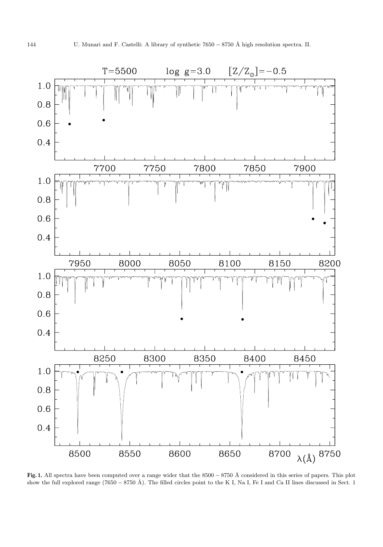

**Fig. 1.** All spectra have been computed over a range wider that the 8500 − 8750 Å considered in this series of papers. This plot show the full explored range (7650 − 8750 Å). The filled circles point to the K I, Na I, Fe I and Ca II lines discussed in Sect. 1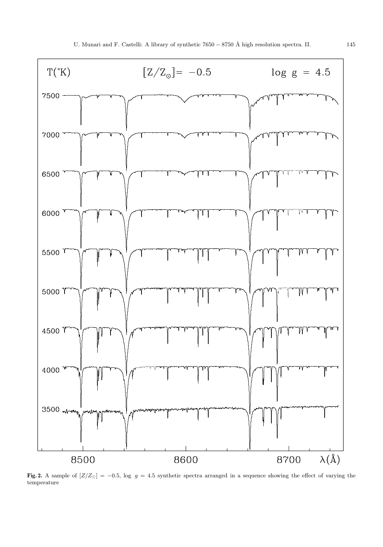

**Fig. 2.** A sample of  $[Z/Z_{\odot}] = -0.5$ , log  $g = 4.5$  synthetic spectra arranged in a sequence showing the effect of varying the temperature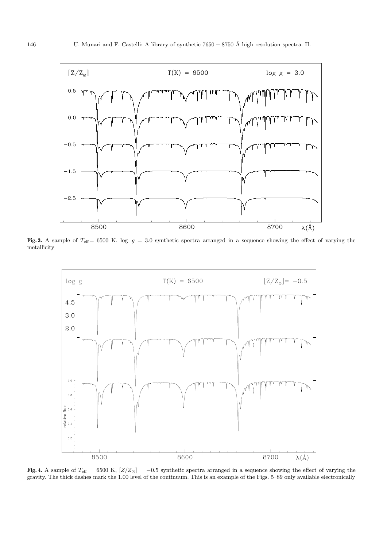

Fig. 3. A sample of  $T_{\text{eff}}= 6500$  K, log  $g = 3.0$  synthetic spectra arranged in a sequence showing the effect of varying the metallicity



**Fig. 4.** A sample of  $T_{\text{eff}} = 6500 \text{ K}$ ,  $[Z/Z_{\odot}] = -0.5$  synthetic spectra arranged in a sequence showing the effect of varying the gravity. The thick dashes mark the 1.00 level of the continuum. This is an example of the Figs. 5–89 only available electronically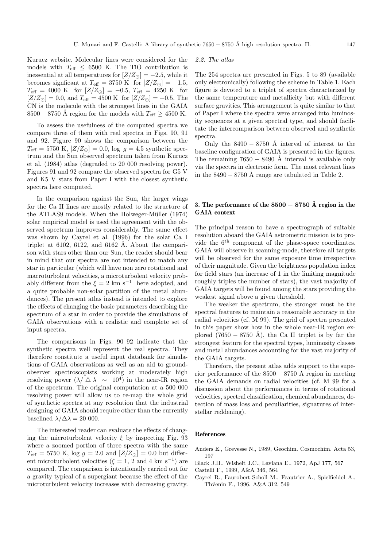Kurucz website. Molecular lines were considered for the models with  $T_{\text{eff}} \leq 6500$  K. The TiO contribution is inessential at all temperatures for  $[Z/Z_{\odot}] = -2.5$ , while it becomes signficant at  $T_{\text{eff}} = 3750 \text{ K}$  for  $[Z/Z_{\odot}] = -1.5$ ,  $T_{\text{eff}} = 4000 \text{ K} \text{ for } [Z/Z_{\odot}] = -0.5, T_{\text{eff}} = 4250 \text{ K} \text{ for}$  $[Z/Z_{\odot}] = 0.0$ , and  $T_{\text{eff}} = 4500 \text{ K}$  for  $[Z/Z_{\odot}] = +0.5$ . The CN is the molecule with the strongest lines in the GAIA  $8500 - 8750$  Å region for the models with  $T_{\text{eff}} \geq 4500$  K.

To assess the usefulness of the computed spectra we compare three of them with real spectra in Figs. 90, 91 and 92. Figure 90 shows the comparison between the  $T_{\text{eff}} = 5750 \text{ K}, [Z/Z_{\odot}] = 0.0, \log g = 4.5 \text{ synthetic spec-}$ trum and the Sun observed spectrum taken from Kurucz et al. (1984) atlas (degraded to 20 000 resolving power). Figures 91 and 92 compare the observed spectra for G5 V and K5 V stars from Paper I with the closest synthetic spectra here computed.

In the comparison against the Sun, the larger wings for the Ca II lines are mostly related to the structure of the ATLAS9 models. When the Holweger-Müller (1974) solar empirical model is used the agreement with the observed spectrum improves considerably. The same effect was shown by Cayrel et al. (1996) for the solar Ca I triplet at 6102, 6122, and 6162 Å. About the comparison with stars other than our Sun, the reader should bear in mind that our spectra are not intended to match any star in particular (which will have non zero rotational and macroturbolent velocities, a microturbolent velocity probably different from the  $\xi = 2$  km s<sup>-1</sup> here adopted, and a quite probable non-solar partition of the metal abundances). The present atlas instead is intended to explore the effects of changing the basic parameters describing the spectrum of a star in order to provide the simulations of GAIA observations with a realistic and complete set of input spectra.

The comparisons in Figs. 90–92 indicate that the synthetic spectra well represent the real spectra. They therefore constitute a useful input databank for simulations of GAIA observations as well as an aid to groundobserver spectroscopists working at moderately high resolving power  $(\lambda / \Delta \lambda \sim 10^4)$  in the near-IR region of the spectrum. The original computation at a 500 000 resolving power will allow us to re-map the whole grid of synthetic spectra at any resolution that the industrial designing of GAIA should require other than the currently baselined  $\lambda/\Delta\lambda = 20000$ .

The interested reader can evaluate the effects of changing the microturbolent velocity  $\xi$  by inspecting Fig. 93 where a zoomed portion of three spectra with the same  $T_{\text{eff}} = 5750 \text{ K}$ ,  $\log g = 2.0 \text{ and } [Z/Z_{\odot}] = 0.0 \text{ but differ-}$ ent microturbolent velocities ( $\xi = 1, 2$  and 4 km s<sup>-1</sup>) are compared. The comparison is intentionally carried out for a gravity typical of a supergiant because the effect of the microturbulent velocity increases with decreasing gravity.

#### 2.2. The atlas

The 254 spectra are presented in Figs. 5 to 89 (available only electronically) following the scheme in Table 1. Each figure is devoted to a triplet of spectra characterized by the same temperature and metallicity but with different surface gravities. This arrangement is quite similar to that of Paper I where the spectra were arranged into luminosity sequences at a given spectral type, and should facilitate the intercomparison between observed and synthetic spectra.

Only the  $8490 - 8750$  Å interval of interest to the baseline configuration of GAIA is presented in the figures. The remaining  $7650 - 8490$  Å interval is available only via the spectra in electronic form. The most relevant lines in the  $8490 - 8750$  Å range are tabulated in Table 2.

## **3. The performance of the <sup>8500</sup>** *<sup>−</sup>* **<sup>8750</sup> ˚A region in the GAIA context**

The principal reason to have a spectrograph of suitable resolution aboard the GAIA astrometric mission is to provide the  $6<sup>th</sup>$  component of the phase-space coordinates. GAIA will observe in scanning-mode, therefore all targets will be observed for the same exposure time irrespective of their magnitude. Given the brightness population index for field stars (an increase of 1 in the limiting magnitude roughly triples the number of stars), the vast majority of GAIA targets will be found among the stars providing the weakest signal above a given threshold.

The weaker the spectrum, the stronger must be the spectral features to maintain a reasonable accuracy in the radial velocities (cf. M 99). The grid of spectra presented in this paper show how in the whole near-IR region explored (7650 – 8750 Å), the Ca II triplet is by far the strongest feature for the spectral types, luminosity classes and metal abundances accounting for the vast majority of the GAIA targets.

Therefore, the present atlas adds support to the superior performance of the  $8500 - 8750$  Å region in meeting the GAIA demands on radial velocities (cf. M 99 for a discussion about the performances in terms of rotational velocities, spectral classification, chemical abundances, detection of mass loss and peculiarities, signatures of interstellar reddening).

#### **References**

Anders E., Grevesse N., 1989, Geochim. Cosmochim. Acta 53, 197

- Black J.H., Wisheit J.C., Laviana E., 1972, ApJ 177, 567
- Castelli F., 1999, A&A 346, 564
- Cayrel R., Faurobert-Scholl M., Feautrier A., Spielfieldel A., Thýenin F., 1996, A&A 312, 549